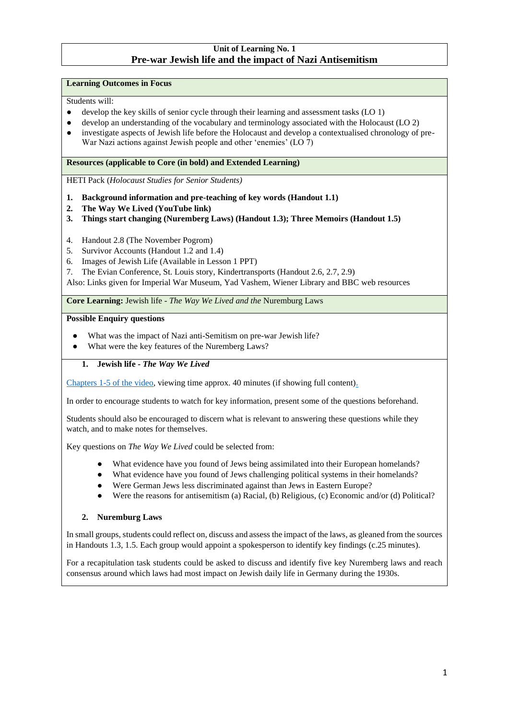# **Unit of Learning No. 1 Pre-war Jewish life and the impact of Nazi Antisemitism**

#### **Learning Outcomes in Focus**

Students will:

- develop the key skills of senior cycle through their learning and assessment tasks (LO 1)
- develop an understanding of the vocabulary and terminology associated with the Holocaust (LO 2)
- investigate aspects of Jewish life before the Holocaust and develop a contextualised chronology of pre-War Nazi actions against Jewish people and other 'enemies' (LO 7)

### **Resources (applicable to Core (in bold) and Extended Learning)**

HETI Pack (*Holocaust Studies for Senior Students)*

- **1. Background information and pre-teaching of key words (Handout 1.1)**
- **2. The Way We Lived (YouTube link)**
- **3. Things start changing (Nuremberg Laws) (Handout 1.3); Three Memoirs (Handout 1.5)**
- 4. Handout 2.8 (The November Pogrom)
- 5. Survivor Accounts (Handout 1.2 and 1.4)
- 6. Images of Jewish Life (Available in Lesson 1 PPT)
- 7. The Evian Conference, St. Louis story, Kindertransports (Handout 2.6, 2.7, 2.9)

Also: Links given for Imperial War Museum, Yad Vashem, Wiener Library and BBC web resources

**Core Learning:** Jewish life *- The Way We Lived and the* Nuremburg Laws

#### **Possible Enquiry questions**

- What was the impact of Nazi anti-Semitism on pre-war Jewish life?
- What were the key features of the Nuremberg Laws?

### **1. Jewish life** *- The Way We Lived*

[Chapters 1-5 of the](https://www.youtube.com/playlist?list=PLTZBACK870bGRKAj2dF_kjP30wFlWArZX) [video,](https://www.youtube.com/playlist?list=PLTZBACK870bGRKAj2dF_kjP30wFlWArZX) viewing time approx. 40 minutes (if showing full content).

In order to encourage students to watch for key information, present some of the questions beforehand.

Students should also be encouraged to discern what is relevant to answering these questions while they watch, and to make notes for themselves.

Key questions on *The Way We Lived* could be selected from:

- What evidence have you found of Jews being assimilated into their European homelands?
- What evidence have you found of Jews challenging political systems in their homelands?
- Were German Jews less discriminated against than Jews in Eastern Europe?
- Were the reasons for antisemitism (a) Racial, (b) Religious, (c) Economic and/or (d) Political?

### **2. Nuremburg Laws**

In small groups, students could reflect on, discuss and assess the impact of the laws, as gleaned from the sources in Handouts 1.3, 1.5. Each group would appoint a spokesperson to identify key findings (c.25 minutes).

For a recapitulation task students could be asked to discuss and identify five key Nuremberg laws and reach consensus around which laws had most impact on Jewish daily life in Germany during the 1930s.